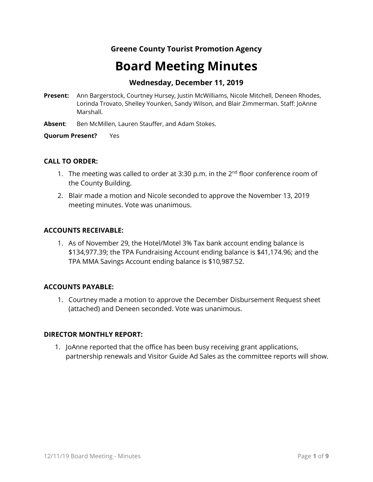# **Greene County Tourist Promotion Agency**

# **Board Meeting Minutes**

## **Wednesday, December 11, 2019**

- **Present:** Ann Bargerstock, Courtney Hursey, Justin McWilliams, Nicole Mitchell, Deneen Rhodes, Lorinda Trovato, Shelley Younken, Sandy Wilson, and Blair Zimmerman. Staff: JoAnne Marshall.
- **Absent**: Ben McMillen, Lauren Stauffer, and Adam Stokes.

**Quorum Present?** Yes

#### **CALL TO ORDER:**

- 1. The meeting was called to order at 3:30 p.m. in the  $2<sup>nd</sup>$  floor conference room of the County Building.
- 2. Blair made a motion and Nicole seconded to approve the November 13, 2019 meeting minutes. Vote was unanimous.

#### **ACCOUNTS RECEIVABLE:**

1. As of November 29, the Hotel/Motel 3% Tax bank account ending balance is \$134,977.39; the TPA Fundraising Account ending balance is \$41,174.96; and the TPA MMA Savings Account ending balance is \$10,987.52.

#### **ACCOUNTS PAYABLE:**

1. Courtney made a motion to approve the December Disbursement Request sheet (attached) and Deneen seconded. Vote was unanimous.

#### **DIRECTOR MONTHLY REPORT:**

1. JoAnne reported that the office has been busy receiving grant applications, partnership renewals and Visitor Guide Ad Sales as the committee reports will show.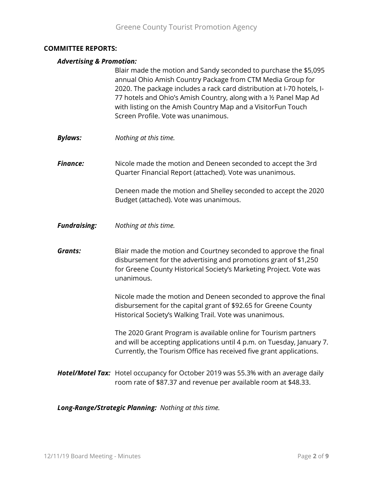#### **COMMITTEE REPORTS:**

#### *Advertising & Promotion:*

Blair made the motion and Sandy seconded to purchase the \$5,095 annual Ohio Amish Country Package from CTM Media Group for 2020. The package includes a rack card distribution at I-70 hotels, I-77 hotels and Ohio's Amish Country, along with a ½ Panel Map Ad with listing on the Amish Country Map and a VisitorFun Touch Screen Profile. Vote was unanimous.

*Bylaws: Nothing at this time.*

**Finance:** Nicole made the motion and Deneen seconded to accept the 3rd Quarter Financial Report (attached). Vote was unanimous.

> Deneen made the motion and Shelley seconded to accept the 2020 Budget (attached). Vote was unanimous.

*Fundraising: Nothing at this time.*

**Grants:** Blair made the motion and Courtney seconded to approve the final disbursement for the advertising and promotions grant of \$1,250 for Greene County Historical Society's Marketing Project. Vote was unanimous.

> Nicole made the motion and Deneen seconded to approve the final disbursement for the capital grant of \$92.65 for Greene County Historical Society's Walking Trail. Vote was unanimous.

The 2020 Grant Program is available online for Tourism partners and will be accepting applications until 4 p.m. on Tuesday, January 7. Currently, the Tourism Office has received five grant applications.

*Hotel/Motel Tax:* Hotel occupancy for October 2019 was 55.3% with an average daily room rate of \$87.37 and revenue per available room at \$48.33.

*Long-Range/Strategic Planning: Nothing at this time.*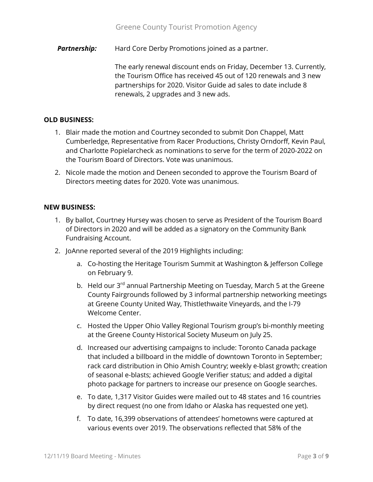**Partnership:** Hard Core Derby Promotions joined as a partner.

The early renewal discount ends on Friday, December 13. Currently, the Tourism Office has received 45 out of 120 renewals and 3 new partnerships for 2020. Visitor Guide ad sales to date include 8 renewals, 2 upgrades and 3 new ads.

#### **OLD BUSINESS:**

- 1. Blair made the motion and Courtney seconded to submit Don Chappel, Matt Cumberledge, Representative from Racer Productions, Christy Orndorff, Kevin Paul, and Charlotte Popielarcheck as nominations to serve for the term of 2020-2022 on the Tourism Board of Directors. Vote was unanimous.
- 2. Nicole made the motion and Deneen seconded to approve the Tourism Board of Directors meeting dates for 2020. Vote was unanimous.

#### **NEW BUSINESS:**

- 1. By ballot, Courtney Hursey was chosen to serve as President of the Tourism Board of Directors in 2020 and will be added as a signatory on the Community Bank Fundraising Account.
- 2. JoAnne reported several of the 2019 Highlights including:
	- a. Co-hosting the Heritage Tourism Summit at Washington & Jefferson College on February 9.
	- b. Held our 3<sup>rd</sup> annual Partnership Meeting on Tuesday, March 5 at the Greene County Fairgrounds followed by 3 informal partnership networking meetings at Greene County United Way, Thistlethwaite Vineyards, and the I-79 Welcome Center.
	- c. Hosted the Upper Ohio Valley Regional Tourism group's bi-monthly meeting at the Greene County Historical Society Museum on July 25.
	- d. Increased our advertising campaigns to include: Toronto Canada package that included a billboard in the middle of downtown Toronto in September; rack card distribution in Ohio Amish Country; weekly e-blast growth; creation of seasonal e-blasts; achieved Google Verifier status; and added a digital photo package for partners to increase our presence on Google searches.
	- e. To date, 1,317 Visitor Guides were mailed out to 48 states and 16 countries by direct request (no one from Idaho or Alaska has requested one yet).
	- f. To date, 16,399 observations of attendees' hometowns were captured at various events over 2019. The observations reflected that 58% of the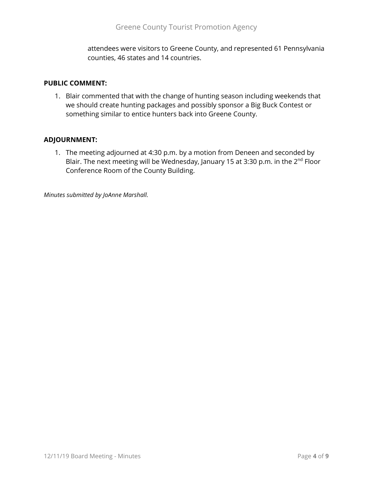attendees were visitors to Greene County, and represented 61 Pennsylvania counties, 46 states and 14 countries.

#### **PUBLIC COMMENT:**

1. Blair commented that with the change of hunting season including weekends that we should create hunting packages and possibly sponsor a Big Buck Contest or something similar to entice hunters back into Greene County.

#### **ADJOURNMENT:**

1. The meeting adjourned at 4:30 p.m. by a motion from Deneen and seconded by Blair. The next meeting will be Wednesday, January 15 at 3:30 p.m. in the  $2^{nd}$  Floor Conference Room of the County Building.

*Minutes submitted by JoAnne Marshall.*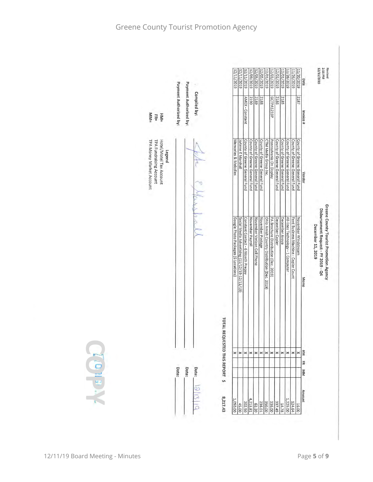| Payment Authorized by:<br>2187<br>2188<br>GCTPA1219P<br>2186<br>2185<br>AMEX - Constant<br>2190<br>hvoice#<br>$M$ <sub>M</sub> $=$<br>$=$ MH<br>$FR =$<br>County of Greene General Fund<br>County of Greene General Fund<br>Memories & Melodies<br>County of Greene General Fund<br>CTM Media Group Inc.<br>Pennsylvania On Display<br>County of Greene General Fund<br>County of Greene General Fund<br>County of Greene General Fund<br>TPA Fundraising Account<br>Hotel/Motel Tax Account<br>JoAnne E Marshall<br>County of Greene General Fund<br>County of Greene General Fund<br>TPA Money Market Account<br>County of Greene General Fund<br>Legend<br>Vendor<br>Google Photo Packages (6 Locations)<br>Ohio Amish Country Distribution (Dec. 2019)<br>December Copier<br>December Avaya<br>November Windstream<br>Social Media Advertising (11/12/19-12/11/19)<br>Constant Contact - 6 Month Prepay<br>November Payroll<br>November Verizon Cell Phone<br>November Postage<br>PA Brochure Distribution (Dec. 2019)<br>All-lines Technology - 1 Computer<br>Ford Business Machine - Copier Count<br>Memo | TOTAL REQUESTED THIS REPORT \$<br>WEION<br>E<br>×<br>×<br>$\pmb{\times}$<br>×<br>$\pmb{\times}$<br>$\times$ $\times$<br>$\pmb{\times}$<br>$\pmb{\times}$<br>×<br>$\times$<br>$\times$<br>$\pmb{\times}$<br>E<br>Date:<br>Date:<br>Date:<br><b>NN</b> |  |                        |              | 12/11/2019 | 12/11/2019 | 12/11/2019<br>12/09/2019 | 12/05/2019 | 12/05/2019 | 12/01/2019 | 12/01/2019 | 12/01/2019<br>12/01/2019 | 11/26/2019 | 11/26/2019 | 11/20/2019 | Date | Revised<br>2:56 PM<br>12/11/2019 |
|-----------------------------------------------------------------------------------------------------------------------------------------------------------------------------------------------------------------------------------------------------------------------------------------------------------------------------------------------------------------------------------------------------------------------------------------------------------------------------------------------------------------------------------------------------------------------------------------------------------------------------------------------------------------------------------------------------------------------------------------------------------------------------------------------------------------------------------------------------------------------------------------------------------------------------------------------------------------------------------------------------------------------------------------------------------------------------------------------------------------|------------------------------------------------------------------------------------------------------------------------------------------------------------------------------------------------------------------------------------------------------|--|------------------------|--------------|------------|------------|--------------------------|------------|------------|------------|------------|--------------------------|------------|------------|------------|------|----------------------------------|
|                                                                                                                                                                                                                                                                                                                                                                                                                                                                                                                                                                                                                                                                                                                                                                                                                                                                                                                                                                                                                                                                                                                 |                                                                                                                                                                                                                                                      |  | Payment Authorized by: | Compiled by: |            |            |                          |            |            |            |            |                          |            |            |            |      |                                  |
|                                                                                                                                                                                                                                                                                                                                                                                                                                                                                                                                                                                                                                                                                                                                                                                                                                                                                                                                                                                                                                                                                                                 |                                                                                                                                                                                                                                                      |  |                        |              |            |            |                          |            |            |            |            |                          |            |            |            |      |                                  |
|                                                                                                                                                                                                                                                                                                                                                                                                                                                                                                                                                                                                                                                                                                                                                                                                                                                                                                                                                                                                                                                                                                                 |                                                                                                                                                                                                                                                      |  |                        |              |            |            |                          |            |            |            |            |                          |            |            |            |      | December 11, 2019                |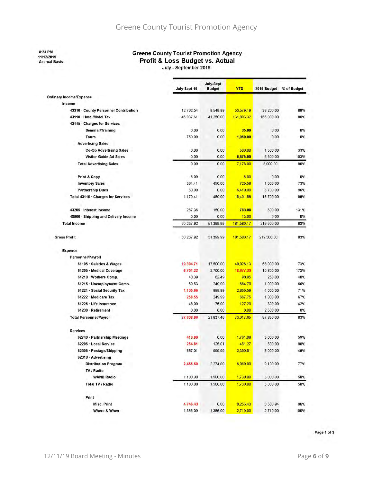8:23 PM

11/12/2019

Accrual Basis

#### **Greene County Tourist Promotion Agency** Profit & Loss Budget vs. Actual

July - September 2019

÷

|                                       | July-Sept 19 | July-Sept<br><b>Budget</b> | <b>YTD</b> | 2019 Budget | % of Budget |
|---------------------------------------|--------------|----------------------------|------------|-------------|-------------|
| <b>Ordinary Income/Expense</b>        |              |                            |            |             |             |
| Income                                |              |                            |            |             |             |
| 43310 · County Personnel Contribution | 12,762.54    | 9,549.99                   | 33,579.19  | 38,200.00   | 88%         |
| 43110 · Hotel/Motel Tax               | 46,037.61    | 41,250.00                  | 131,803.32 | 165,000.00  | 80%         |
| 43115 · Charges for Services          |              |                            |            |             |             |
| Seminar/Training                      | 0.00         | 0.00                       | 35.00      | 0.00        | 0%          |
| Tours                                 | 750.00       | 0.00                       | 1,050.00   | 0.00        | 0%          |
| <b>Advertising Sales</b>              |              |                            |            |             |             |
| <b>Co-Op Advertising Sales</b>        | 0.00         | 0.00                       | 500.00     | 1,500.00    | 33%         |
| <b>Visitor Guide Ad Sales</b>         | 0.00         | 0.00                       | 6,675.00   | 6,500.00    | 103%        |
| <b>Total Advertising Sales</b>        | 0.00         | 0.00                       | 7,175.00   | 8,000.00    | 90%         |
| <b>Print &amp; Copy</b>               | 6.00         | 0.00                       | 6,00       | 0.00        | 0%          |
| <b>Inventory Sales</b>                | 364.41       | 450.00                     | 725.58     | 1,000.00    | 73%         |
| <b>Partnership Dues</b>               | 50.00        | 0.00                       | 6,410.00   | 6,700.00    | 96%         |
| Total 43115 · Charges for Services    | 1,170.41     | 450.00                     | 15,401.58  | 15,700.00   | 98%         |
| 43205 · Interest Income               | 267.36       | 150.00                     | 783.08     | 600.00      | 131%        |
| 48900 · Shipping and Delivery Income  | 0.00         | 0.00                       | 13.00      | 0.00        | 0%          |
| <b>Total Income</b>                   | 60,237.92    | 51,399.99                  | 181,580.17 | 219,500.00  | 83%         |
| <b>Gross Profit</b>                   | 60,237.92    | 51,399.99                  | 181,580.17 | 219,500.00  | 83%         |
| <b>Expense</b>                        |              |                            |            |             |             |
| Personnel/Payroll                     |              |                            |            |             |             |
| 61105 · Salaries & Wages              | 19,394.71    | 17,500.00                  | 49,926.13  | 68,000.00   | 73%         |
| 61205 Medical Coverage                | 6,701.22     | 2,700.00                   | 18,677.33  | 10,800.00   | 173%        |
| 61210 · Workers Comp.                 | 40.39        | 62.49                      | 98.95      | 250.00      | 40%         |
| 61215 · Unemployment Comp.            | 59.53        | 249.99                     | 664.70     | 1,000.00    | 66%         |
| 61221 Social Security Tax             | 1,105.66     | 999.99                     | 2,855.59   | 4,000.00    | 71%         |
| 61222 Medicare Tax                    | 258.55       | 249.99                     | 667.75     | 1,000.00    | 67%         |
| 61225 Life Insurance                  | 48.00        | 75.00                      | 127.20     | 300.00      | 42%         |
| 61230 Retirement                      | 0.00         | 0.00                       | 0.00       | 2,500.00    | 0%          |
| <b>Total Personnel/Payroll</b>        | 27,608.06    | 21,837.46                  | 73.017.65  | 87,850.00   | 83%         |
| <b>Services</b>                       |              |                            |            |             |             |
| 62740 · Partnership Meetings          | 410.00       | 0.00                       | 1,761.08   | 3,000.00    | 59%         |
| 62205 · Local Service                 | 254.81       | 125.01                     | 451.27     | 500.00      | 90%         |
| 62305 · Postage/Shipping              | 687.01       | 999.99                     | 2,390.51   | 5,000.00    | 48%         |
| 62310 · Advertising                   |              |                            |            |             |             |
| <b>Distribution Program</b>           | 2,455.50     | 2,274.99                   | 6,969.00   | 9,100.00    | 77%         |
| TV / Radio                            |              |                            |            |             |             |
| <b>WANB Radio</b>                     | 1,100.00     | 1,500.00                   | 1,730.00   | 3,000.00    | 58%         |
| <b>Total TV / Radio</b>               | 1,100.00     | 1,500.00                   | 1,730.00   | 3,000.00    | 58%         |
| Print                                 |              |                            |            |             |             |
| <b>Misc. Print</b>                    | 4,746.43     | 0.00                       | 8,253.43   | 8,580.94    | 96%         |
| Where & When                          | 1,355.00     | 1,355.00                   | 2,710.00   | 2,710.00    | 100%        |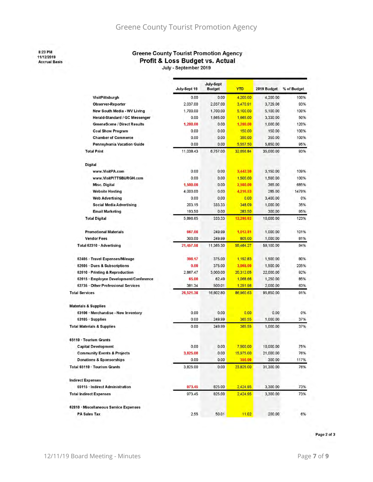## Greene County Tourist Promotion Agency

8:23 PM 11/12/2019 **Accrual Basis** 

# **Greene County Tourist Promotion Agency** Profit & Loss Budget vs. Actual

|                                         |              | July-Sept     |            |             |             |
|-----------------------------------------|--------------|---------------|------------|-------------|-------------|
|                                         | July-Sept 19 | <b>Budget</b> | <b>YTD</b> | 2019 Budget | % of Budget |
| VisitPittsburgh                         | 0.00         | 0.00          | 4,200.00   | 4.200.00    | 100%        |
| <b>Observer-Reporter</b>                | 2,037.00     | 2,037.00      | 3,470.91   | 3,729.06    | 93%         |
| New South Media - WV Living             | 1,700.00     | 1,700.00      | 5,100.00   | 5.100.00    | 100%        |
| Herald-Standard / GC Messenger          | 0.00         | 1,665.00      | 1,665.00   | 3,330.00    | 50%         |
| <b>GreeneScene / Direct Results</b>     | 1,200.00     | 0.00          | 1,200.00   | 1,000.00    | 120%        |
| <b>Coal Show Program</b>                | 0.00         | 0.00          | 150.00     | 150.00      | 100%        |
| <b>Chamber of Commerce</b>              | 0.00         | 0.00          | 350.00     | 350.00      | 100%        |
| Pennsylvania Vacation Guide             | 0.00         | 0.00          | 5,557.50   | 5,850.00    | 95%         |
| <b>Total Print</b>                      | 11.038.43    | 6,757.00      | 32.656.84  | 35,000.00   | 93%         |
| Digital                                 |              |               |            |             |             |
| www.VisitPA.com                         | 0.00         | 0.00          | 3,442.50   | 3,150.00    | 109%        |
| www.VisitPITTSBURGH.com                 | 0.00         | 0.00          | 1,500.00   | 1,500.00    | 100%        |
| <b>Misc. Digital</b>                    | 1,500.00     | 0.00          | 2,500.00   | 365.00      | 685%        |
| <b>Website Hosting</b>                  | 4,000.00     | 0.00          | 4,216.53   | 285.00      | 1479%       |
| <b>Web Advertising</b>                  | 0.00         | 0.00          | 0.00       | 3,400.00    | 0%          |
| <b>Social Media Advertising</b>         | 203.15       | 333.33        | 348.09     | 1,000.00    | 35%         |
| <b>Email Marketing</b>                  | 193.50       | 0.00          | 283.50     | 300,00      | 95%         |
| <b>Total Digital</b>                    | 5,896.65     | 333.33        | 12.290.62  | 10,000.00   | 123%        |
| <b>Promotional Materials</b>            | 667.00       | 249.99        | 1,012.81   | 1,000.00    | 101%        |
| <b>Vendor Fees</b>                      | 300.00       | 249.99        | 805.00     | 1,000.00    | 81%         |
| Total 62310 · Advertising               | 21,457.58    | 11,365.30     | 55.464.27  | 59,100.00   | 94%         |
| 62405 · Travel Expenses/Mileage         | 398.17       | 375.00        | 1,192.83   | 1,500.00    | 80%         |
| 62605 Dues & Subscriptions              | 0.00         | 375.00        | 3,068.00   | 1,500.00    | 205%        |
| 62610 · Printing & Reproduction         | 2.867.47     | 3,000.00      | 20,312.05  | 22,000.00   | 92%         |
| 62615 · Employee Development/Conference | 65.00        | 62.49         | 1,068.66   | 1,250.00    | 85%         |
| 62735 · Other Professional Services     | 381.34       | 500.01        | 1,251.96   | 2,000.00    | 63%         |
| <b>Total Services</b>                   | 26,521.38    | 16,802.80     | 86,960.63  | 95,850.00   | 91%         |
| <b>Materials &amp; Supplies</b>         |              |               |            |             |             |
| 63106 · Merchandise - New Inventory     | 0.00         | 0.00          | 0.00       | 0.00        | 0%          |
| 63105 · Supplies                        | 0.00         | 249.99        | 365.55     | 1,000.00    | 37%         |
| <b>Total Materials &amp; Supplies</b>   | 0.00         | 249.99        | 365.55     | 1,000.00    | 37%         |
| 65110 · Tourism Grants                  |              |               |            |             |             |
| <b>Capital Development</b>              | 0.00         | 0.00          | 7,500.00   | 10,000.00   | 75%         |
| <b>Community Events &amp; Projects</b>  | 3,825.00     | 0.00          | 15,975.00  | 21,000.00   | 76%         |
| <b>Donations &amp; Sponsorships</b>     | 0.00         | 0.00          | 350.00     | 300.00      | 117%        |
| Total 65110 · Tourism Grants            | 3,825.00     | 0.00          | 23,825.00  | 31,300.00   | 76%         |
| <b>Indirect Expenses</b>                |              |               |            |             |             |
| 65115 · Indirect Administration         | 973.45       | 825.00        | 2,424.95   | 3,300.00    | 73%         |
| <b>Total Indirect Expenses</b>          | 973.45       | 825.00        | 2,424.95   | 3,300.00    | 73%         |
| 62810 · Miscellaneous Service Expenses  |              |               |            |             |             |
| <b>PA Sales Tax</b>                     | 2.55         | 50.01         | 11.02      | 200.00      | 6%          |

Page 2 of 3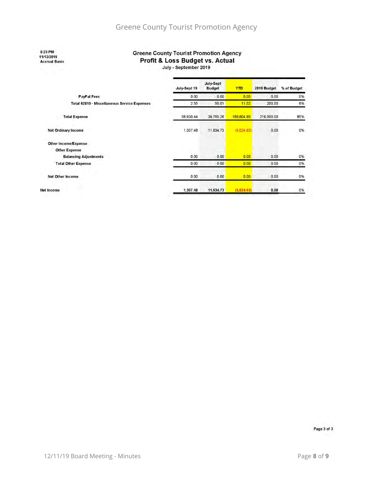8:23 PM 11/12/2019 **Accrual Basis** 

#### **Greene County Tourist Promotion Agency** Profit & Loss Budget vs. Actual

July - September 2019

|                                              | July-Sept 19 | July-Sept<br><b>Budget</b> | <b>YTD</b> | 2019 Budget | % of Budget |
|----------------------------------------------|--------------|----------------------------|------------|-------------|-------------|
| PayPal Fees                                  | 0.00         | 0.00                       | 0.00       | 0.00        | 0%          |
| Total 62810 · Miscellaneous Service Expenses | 2.55         | 50.01                      | 11.02      | 200.00      | 6%          |
| <b>Total Expense</b>                         | 58,930.44    | 39.765.26                  | 186,604.80 | 219,500.00  | 85%         |
| Net Ordinary Income                          | 1,307.48     | 11.634.73                  | (5,024.63) | 0.00        | 0%          |
| Other Income/Expense                         |              |                            |            |             |             |
| <b>Other Expense</b>                         |              |                            |            |             |             |
| <b>Balancing Adjustments</b>                 | 0.00         | 0.00                       | 0.00       | 0.00        | 0%          |
| <b>Total Other Expense</b>                   | 0.00         | 0.00                       | 0.00       | 0.00        | 0%          |
| <b>Net Other Income</b>                      | 0.00         | 0.00                       | 0.00       | 0.00        | 0%          |
| <b>Net Income</b>                            | 1.307.48     | 11.634.73                  | (5.024.63) | 0.00        | 0%          |

Page 3 of 3